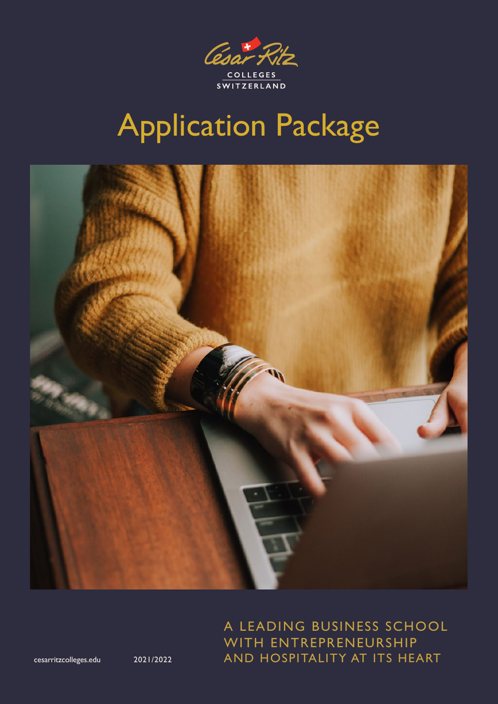

## Application Package



A LEADING BUSINESS SCHOOL WITH ENTREPRENEURSHIP 2021/2022 AND HOSPITALITY AT ITS HEART

[cesarritzcolleges.edu](https://www.cesarritzcolleges.edu/en/)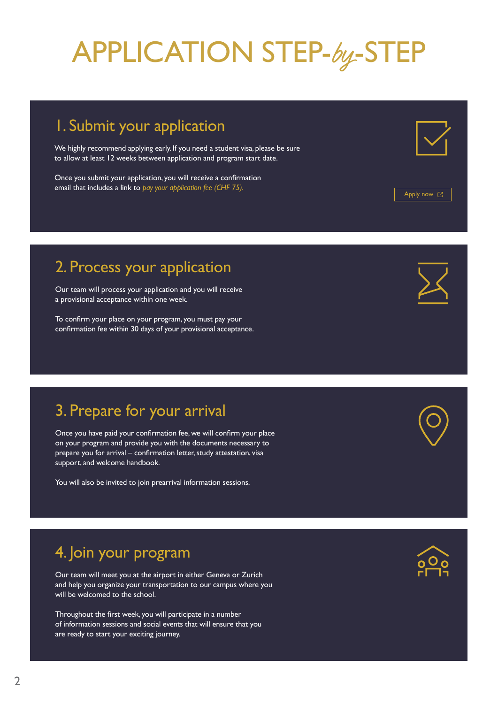## APPLICATION STEP-by-STEP

### 1. Submit your application

We highly recommend applying early. If you need a student visa, please be sure to allow at least 12 weeks between application and program start date.

Once you submit your application, you will receive a confirmation email that includes a link to *pay your application fee (CHF 75).*

### 2. Process your application

Our team will process your application and you will receive a provisional acceptance within one week.

To confirm your place on your program, you must pay your confirmation fee within 30 days of your provisional acceptance.

### 3. Prepare for your arrival

Once you have paid your confirmation fee, we will confirm your place on your program and provide you with the documents necessary to prepare you for arrival – confirmation letter, study attestation, visa support, and welcome handbook.

You will also be invited to join prearrival information sessions.

### 4. Join your program

Our team will meet you at the airport in either Geneva or Zurich and help you organize your transportation to our campus where you will be welcomed to the school.

Throughout the first week, you will participate in a number of information sessions and social events that will ensure that you are ready to start your exciting journey.





[Apply now](https://www.cesarritzcolleges.edu/en/apply-cesar-ritz-colleges/) [2]



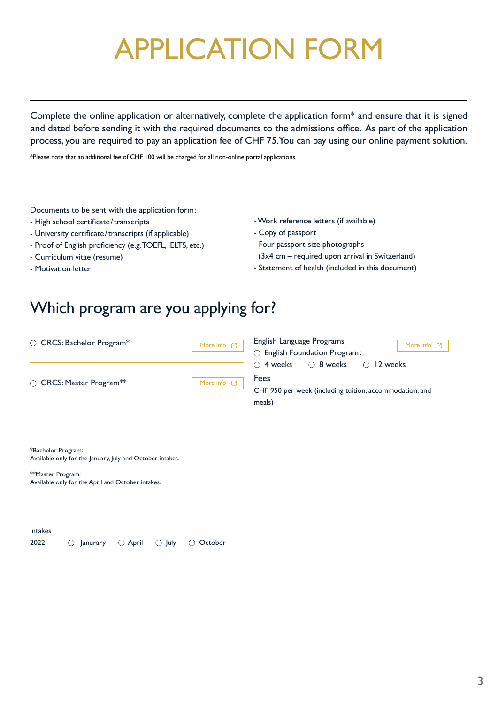## APPLICATION FORM

Complete the online application or alternatively, complete the application form\* and ensure that it is signed and dated before sending it with the required documents to the admissions office. As part of the application process, you are required to pay an application fee of CHF 75. You can pay using our online payment solution.

\*Please note that an additional fee of CHF 100 will be charged for all non-online portal applications.

Documents to be sent with the application form:

- High school certificate/transcripts
- University certificate/transcripts (if applicable)
- Proof of English proficiency (e.g. TOEFL, IELTS, etc.)
- Curriculum vitae (resume)
- Motivation letter
- Work reference letters (if available)
- Copy of passport
- Four passport-size photographs
- (3x4 cm required upon arrival in Switzerland)
- Statement of health (included in this document)

### Which program are you applying for?

| ◯ CRCS: Bachelor Program*                              | More info $[2]$            | English Language Programs<br>More info $[$<br>○ English Foundation Program:                                               |  |
|--------------------------------------------------------|----------------------------|---------------------------------------------------------------------------------------------------------------------------|--|
| $\circlearrowright$ CRCS: Master Program <sup>**</sup> | More info $[$ <sup>7</sup> | ○ 8 weeks<br>$\bigcirc$ 4 weeks<br>$\bigcirc$ 12 weeks<br>Fees<br>CHF 950 per week (including tuition, accommodation, and |  |
|                                                        |                            | meals)                                                                                                                    |  |

\*Bachelor Program: Available only for the January, July and October intakes.

\*\*Master Program: Available only for the April and October intakes.

Intakes 2022 Q Janurary Q April Q July Q October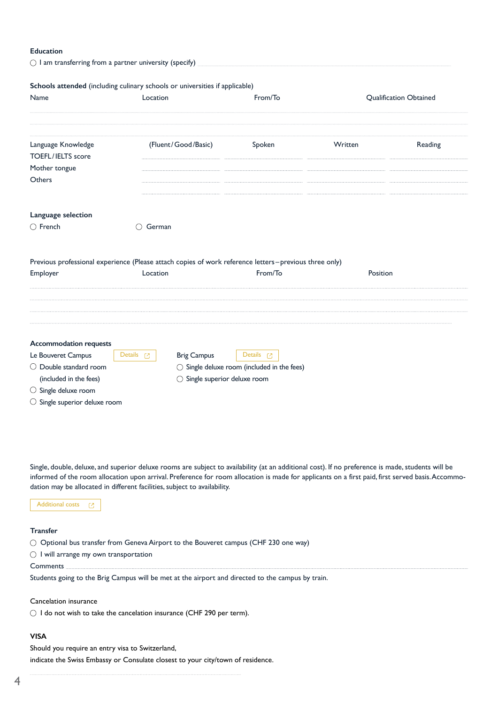#### **Education**

|                                                | $\bigcirc$ I am transferring from a partner university (specify)                                                  |         |          |                               |
|------------------------------------------------|-------------------------------------------------------------------------------------------------------------------|---------|----------|-------------------------------|
|                                                | Schools attended (including culinary schools or universities if applicable)                                       |         |          |                               |
| Name                                           | Location                                                                                                          | From/To |          | <b>Qualification Obtained</b> |
| Language Knowledge<br><b>TOEFL/IELTS</b> score | (Fluent/Good/Basic)                                                                                               | Spoken  | Written  | Reading                       |
| Mother tongue<br>Others                        |                                                                                                                   |         |          |                               |
| Language selection<br>$\bigcirc$ French        | $\bigcirc$ German                                                                                                 |         |          |                               |
| Employer                                       | Previous professional experience (Please attach copies of work reference letters-previous three only)<br>Location | From/To | Position |                               |
|                                                |                                                                                                                   |         |          |                               |
|                                                |                                                                                                                   |         |          |                               |

Single, double, deluxe, and superior deluxe rooms are subject to availability (at an additional cost). If no preference is made, students will be informed of the room allocation upon arrival. Preference for room allocation is made for applicants on a first paid, first served basis. Accommodation may be allocated in different facilities, subject to availability.

[Additional costs](https://cms.cesarritzcolleges.edu/sites/default/files/2021-07/CRCS_Fees_Jun292021.pdf?_ga=2.36367392.1489446282.1625651701-1908295457.1619081836)  $\overline{\mathbb{C}}$ 

#### **Transfer**

 $\bigcirc$  Optional bus transfer from Geneva Airport to the Bouveret campus (CHF 230 one way)

 $\bigcirc$  I will arrange my own transportation

Comments ..

Students going to the Brig Campus will be met at the airport and directed to the campus by train.

Cancelation insurance

 $\bigcirc$  I do not wish to take the cancelation insurance (CHF 290 per term).

#### **VISA**

l,

Should you require an entry visa to Switzerland, indicate the Swiss Embassy or Consulate closest to your city/town of residence.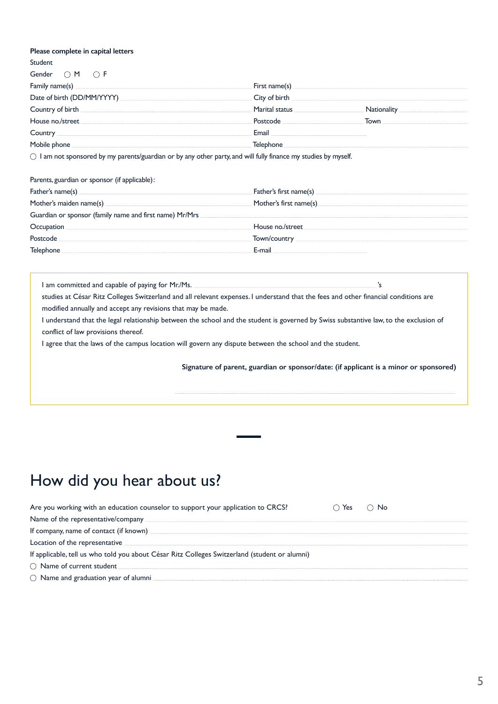#### **Please complete in capital letters**

Student

| Gender $\bigcirc$ M $\bigcirc$ F         |                               |
|------------------------------------------|-------------------------------|
| $f$ amily name(s) $\frac{1}{\sqrt{2}}$   | First name(s)                 |
|                                          | City of birth                 |
| Country of birth <b>Country of birth</b> | Marital status<br>Nationality |
| House no./street                         | Postcode<br>Town              |
| Country                                  | Email                         |
| Mobile phone                             | Telephone                     |

 $\bigcirc$  I am not sponsored by my parents/guardian or by any other party, and will fully finance my studies by myself.

Parents, guardian or sponsor (if applicable):

|                                                         | Mother's first name(s)                                                                                                                                                                                                                                                                           |
|---------------------------------------------------------|--------------------------------------------------------------------------------------------------------------------------------------------------------------------------------------------------------------------------------------------------------------------------------------------------|
| Guardian or sponsor (family name and first name) Mr/Mrs |                                                                                                                                                                                                                                                                                                  |
|                                                         | House no./street                                                                                                                                                                                                                                                                                 |
| Postcode                                                | Town/country <b>common contracts</b> and <b>contracts</b> and <b>contracts</b> and <b>contracts</b> and <b>contracts</b> and <b>contracts</b> and <b>contracts</b> and <b>contracts</b> and <b>contracts</b> and <b>contracts</b> and <b>contracts</b> and <b>contracts</b> and <b>contracts</b> |
| Telephone                                               | E-mail                                                                                                                                                                                                                                                                                           |

I am committed and capable of paying for Mr./Ms. **Sharehouse and capable of paying for Mr./Ms.**  $\cdot$ 's studies at César Ritz Colleges Switzerland and all relevant expenses. I understand that the fees and other financial conditions are modified annually and accept any revisions that may be made.

I understand that the legal relationship between the school and the student is governed by Swiss substantive law, to the exclusion of conflict of law provisions thereof.

I agree that the laws of the campus location will govern any dispute between the school and the student.

 $\ddot{\phantom{a}}$ 

 **Signature of parent, guardian or sponsor/date: (if applicant is a minor or sponsored)**

### How did you hear about us?

| Are you working with an education counselor to support your application to CRCS?              | ่) Yes ∴ ∩ No |
|-----------------------------------------------------------------------------------------------|---------------|
| Name of the representative/company                                                            |               |
| If company, name of contact (if known)                                                        |               |
| Location of the representative <b>contary</b>                                                 |               |
| If applicable, tell us who told you about César Ritz Colleges Switzerland (student or alumni) |               |
| ○ Name of current student                                                                     |               |
| $\circlearrowright$ Name and graduation year of alumni.                                       |               |
|                                                                                               |               |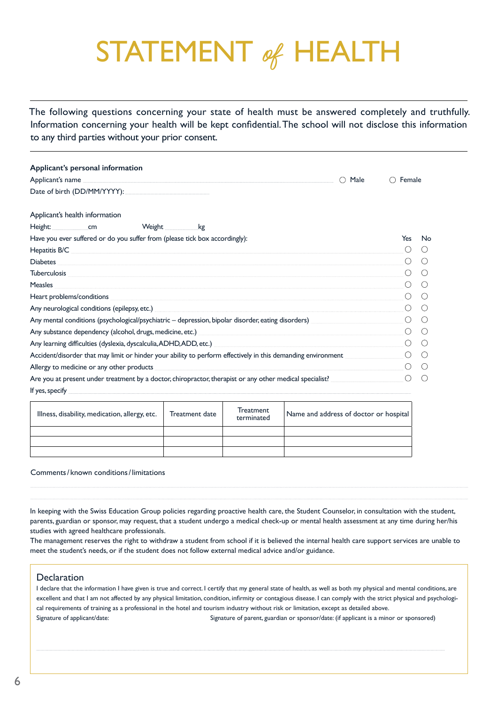## STATEMENT of HEALTH

The following questions concerning your state of health must be answered completely and truthfully. Information concerning your health will be kept confidential. The school will not disclose this information to any third parties without your prior consent.

| Applicant's personal information                                                                                                                                                                                                     |                  |                                                     |
|--------------------------------------------------------------------------------------------------------------------------------------------------------------------------------------------------------------------------------------|------------------|-----------------------------------------------------|
| Male<br>( )                                                                                                                                                                                                                          | Female           |                                                     |
|                                                                                                                                                                                                                                      |                  |                                                     |
| Applicant's health information                                                                                                                                                                                                       |                  |                                                     |
| <b>Example 12 Weight</b> Example 2014                                                                                                                                                                                                |                  |                                                     |
| Have you ever suffered or do you suffer from (please tick box accordingly):                                                                                                                                                          | Yes              | No                                                  |
| Hepatitis B/C <b>Andreas Andreas Andreas Andreas Andreas Andreas Andreas Andreas Andreas Andreas Andreas Andreas A</b>                                                                                                               |                  |                                                     |
| Diabetes <b>contract the contract of the contract of the contract of the contract of the contract of the contract of the contract of the contract of the contract of the contract of the contract of the contract of the contrac</b> |                  |                                                     |
| <b>Tuberculosis</b>                                                                                                                                                                                                                  | $($ )            | (                                                   |
| Measles                                                                                                                                                                                                                              | ( )              |                                                     |
| Heart problems/conditions experience and the condition of the condition of the conditions of the conditions of the conditions of the conditions of the conditions of the conditions of the conditions of the conditions of the       | $\bigcirc$       |                                                     |
| Any neurological conditions (epilepsy, etc.) example and any state of the state of the state of the state of the state of the state of the state of the state of the state of the state of the state of the state of the state       | ( )              |                                                     |
| Any mental conditions (psychological/psychiatric – depression, bipolar disorder, eating disorders)                                                                                                                                   | $\left( \right)$ |                                                     |
| Any substance dependency (alcohol, drugs, medicine, etc.) <b>Any substance of the control of the control of the control of the control of the control of the control of the control of the control of the control of the control</b> | ( )              |                                                     |
| Any learning difficulties (dyslexia, dyscalculia, ADHD, ADD, etc.) [1989] Any learning difficulties (dyslexia, dyscalculia, ADHD, ADD, etc.)                                                                                         | ∩                |                                                     |
| Accident/disorder that may limit or hinder your ability to perform effectively in this demanding environment                                                                                                                         | ( )              | $\left( \quad \right)$                              |
| Allergy to medicine or any other products                                                                                                                                                                                            | $($ )            | (                                                   |
| Are you at present under treatment by a doctor, chiropractor, therapist or any other medical specialist?                                                                                                                             | ∩                | $\left( \begin{array}{c} \cdot \end{array} \right)$ |
| If yes, specify <b>the contract of the contract of the contract of the contract of the contract of the contract of the contract of the contract of the contract of the contract of the contract of the contract of the contract </b> |                  |                                                     |

| Illness, disability, medication, allergy, etc. | Treatment date | Treatment<br>terminated | Name and address of doctor or hospital |
|------------------------------------------------|----------------|-------------------------|----------------------------------------|
|                                                |                |                         |                                        |
|                                                |                |                         |                                        |
|                                                |                |                         |                                        |

#### Comments/ known conditions/limitations

In keeping with the Swiss Education Group policies regarding proactive health care, the Student Counselor, in consultation with the student, parents, guardian or sponsor, may request, that a student undergo a medical check-up or mental health assessment at any time during her/his studies with agreed healthcare professionals.

 $\overline{a}$ 

 $\ddot{\phantom{0}}$ 

The management reserves the right to withdraw a student from school if it is believed the internal health care support services are unable to meet the student's needs, or if the student does not follow external medical advice and/or guidance.

#### **Declaration**

I declare that the information I have given is true and correct. I certify that my general state of health, as well as both my physical and mental conditions, are excellent and that I am not affected by any physical limitation, condition, infirmity or contagious disease. I can comply with the strict physical and psychological requirements of training as a professional in the hotel and tourism industry without risk or limitation, except as detailed above. Signature of applicant/date: Signature of parent, guardian or sponsor/date: (if applicant is a minor or sponsored)

Į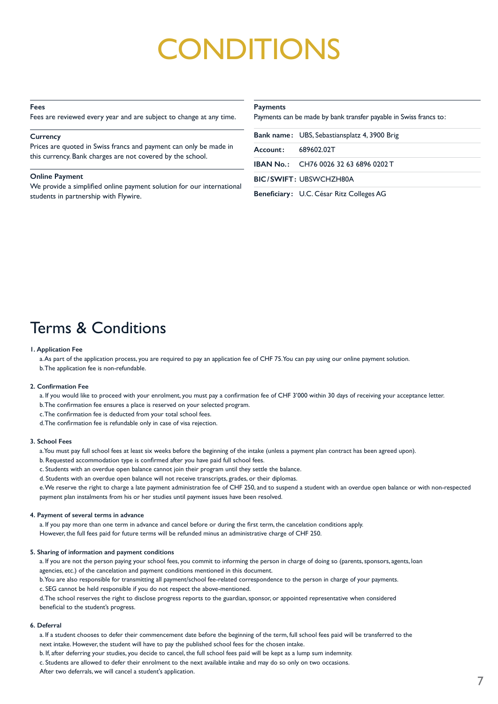## **ONDITIONS**

#### **Fees**

Fees are reviewed every year and are subject to change at any time.

#### **Currency**

Prices are quoted in Swiss francs and payment can only be made in this currency. Bank charges are not covered by the school.

#### **Online Payment**

We provide a simplified online payment solution for our international students in partnership with Flywire.

#### **Payments**

Payments can be made by bank transfer payable in Swiss francs to:

**Bank name:** UBS, Sebastiansplatz 4, 3900 Brig

**Account:** 689602.02T

**IBAN No. :** CH76 0026 32 63 6896 0202 T

**BIC/SWIFT:** UBSWCHZH80A

**Beneficiary :** U.C. César Ritz Colleges AG

### Terms & Conditions

#### **1. Application Fee**

a. As part of the application process, you are required to pay an application fee of CHF 75. You can pay using our online payment solution. b. The application fee is non-refundable.

#### **2. Confirmation Fee**

a. If you would like to proceed with your enrolment, you must pay a confirmation fee of CHF 3'000 within 30 days of receiving your acceptance letter.

- b. The confirmation fee ensures a place is reserved on your selected program.
- c. The confirmation fee is deducted from your total school fees.
- d. The confirmation fee is refundable only in case of visa rejection.

#### **3. School Fees**

a. You must pay full school fees at least six weeks before the beginning of the intake (unless a payment plan contract has been agreed upon).

- b. Requested accommodation type is confirmed after you have paid full school fees.
- c. Students with an overdue open balance cannot join their program until they settle the balance.
- d. Students with an overdue open balance will not receive transcripts, grades, or their diplomas.

e. We reserve the right to charge a late payment administration fee of CHF 250, and to suspend a student with an overdue open balance or with non-respected payment plan instalments from his or her studies until payment issues have been resolved.

#### **4. Payment of several terms in advance**

a. If you pay more than one term in advance and cancel before or during the first term, the cancelation conditions apply. However, the full fees paid for future terms will be refunded minus an administrative charge of CHF 250.

#### **5. Sharing of information and payment conditions**

a. If you are not the person paying your school fees, you commit to informing the person in charge of doing so (parents, sponsors, agents, loan agencies, etc.) of the cancelation and payment conditions mentioned in this document.

b. You are also responsible for transmitting all payment/school fee-related correspondence to the person in charge of your payments.

c. SEG cannot be held responsible if you do not respect the above-mentioned.

d. The school reserves the right to disclose progress reports to the guardian, sponsor, or appointed representative when considered beneficial to the student's progress.

#### **6. Deferral**

a. If a student chooses to defer their commencement date before the beginning of the term, full school fees paid will be transferred to the next intake. However, the student will have to pay the published school fees for the chosen intake.

b. If, after deferring your studies, you decide to cancel, the full school fees paid will be kept as a lump sum indemnity.

c. Students are allowed to defer their enrolment to the next available intake and may do so only on two occasions.

After two deferrals, we will cancel a student's application.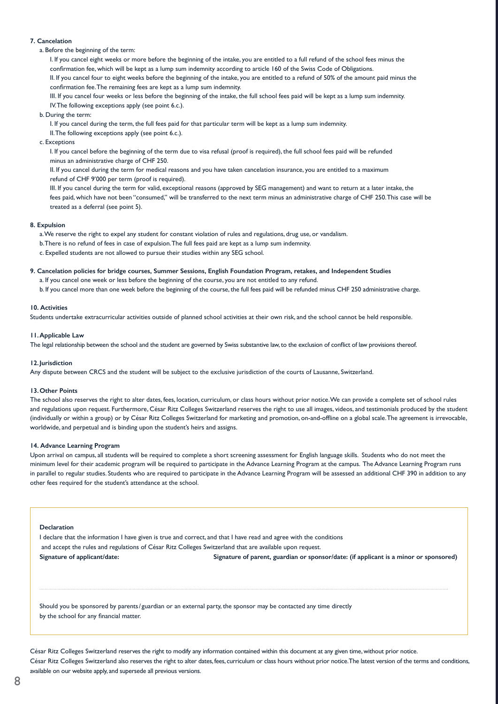#### **7. Cancelation**

a. Before the beginning of the term:

I. If you cancel eight weeks or more before the beginning of the intake, you are entitled to a full refund of the school fees minus the confirmation fee, which will be kept as a lump sum indemnity according to article 160 of the Swiss Code of Obligations. II. If you cancel four to eight weeks before the beginning of the intake, you are entitled to a refund of 50% of the amount paid minus the confirmation fee. The remaining fees are kept as a lump sum indemnity.

III. If you cancel four weeks or less before the beginning of the intake, the full school fees paid will be kept as a lump sum indemnity. IV. The following exceptions apply (see point 6.c.).

b. During the term:

I. If you cancel during the term, the full fees paid for that particular term will be kept as a lump sum indemnity.

II. The following exceptions apply (see point 6.c.).

c. Exceptions

I. If you cancel before the beginning of the term due to visa refusal (proof is required), the full school fees paid will be refunded minus an administrative charge of CHF 250.

II. If you cancel during the term for medical reasons and you have taken cancelation insurance, you are entitled to a maximum refund of CHF 9'000 per term (proof is required).

III. If you cancel during the term for valid, exceptional reasons (approved by SEG management) and want to return at a later intake, the fees paid, which have not been "consumed," will be transferred to the next term minus an administrative charge of CHF 250. This case will be treated as a deferral (see point 5).

#### **8. Expulsion**

a. We reserve the right to expel any student for constant violation of rules and regulations, drug use, or vandalism.

- b. There is no refund of fees in case of expulsion. The full fees paid are kept as a lump sum indemnity.
- c. Expelled students are not allowed to pursue their studies within any SEG school.

#### **9. Cancelation policies for bridge courses, Summer Sessions, English Foundation Program, retakes, and Independent Studies**

a. If you cancel one week or less before the beginning of the course, you are not entitled to any refund.

b. If you cancel more than one week before the beginning of the course, the full fees paid will be refunded minus CHF 250 administrative charge.

#### **10. Activities**

Students undertake extracurricular activities outside of planned school activities at their own risk, and the school cannot be held responsible.

#### **11.Applicable Law**

The legal relationship between the school and the student are governed by Swiss substantive law, to the exclusion of conflict of law provisions thereof.

#### **12.Jurisdiction**

Any dispute between CRCS and the student will be subject to the exclusive jurisdiction of the courts of Lausanne, Switzerland.

#### **13.Other Points**

The school also reserves the right to alter dates, fees, location, curriculum, or class hours without prior notice. We can provide a complete set of school rules and regulations upon request. Furthermore, César Ritz Colleges Switzerland reserves the right to use all images, videos, and testimonials produced by the student (individually or within a group) or by César Ritz Colleges Switzerland for marketing and promotion, on-and-offline on a global scale. The agreement is irrevocable, worldwide, and perpetual and is binding upon the student's heirs and assigns.

#### **14. Advance Learning Program**

Upon arrival on campus, all students will be required to complete a short screening assessment for English language skills. Students who do not meet the minimum level for their academic program will be required to participate in the Advance Learning Program at the campus. The Advance Learning Program runs in parallel to regular studies. Students who are required to participate in the Advance Learning Program will be assessed an additional CHF 390 in addition to any other fees required for the student's attendance at the school.

#### **Declaration**

J

I declare that the information I have given is true and correct, and that I have read and agree with the conditions and accept the rules and regulations of César Ritz Colleges Switzerland that are available upon request. **Signature of applicant/date: Signature of parent, guardian or sponsor/date: (if applicant is a minor or sponsored)**

Should you be sponsored by parents/ guardian or an external party, the sponsor may be contacted any time directly by the school for any financial matter.

César Ritz Colleges Switzerland reserves the right to modify any information contained within this document at any given time, without prior notice. César Ritz Colleges Switzerland also reserves the right to alter dates, fees, curriculum or class hours without prior notice. The latest version of the terms and conditions, available on our website apply, and supersede all previous versions.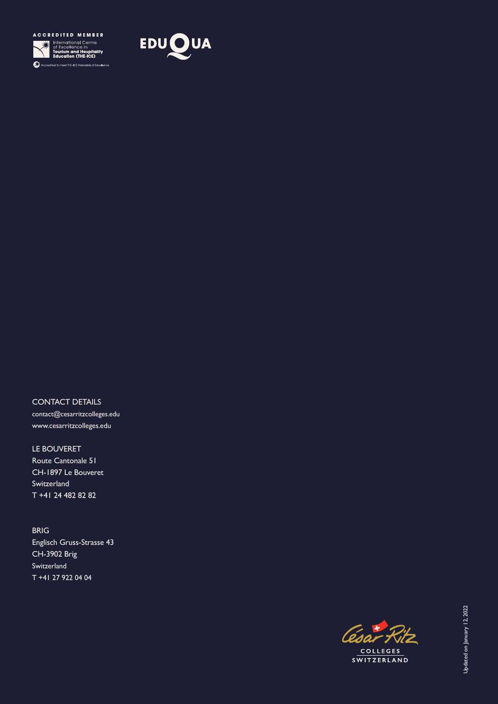



CONTACT DETAILS contact@cesarritzcolleges.edu www.cesarritzcolleges.edu

LE BOUVERET Route Cantonale 51 CH-1897 Le Bouveret Switzerland T +41 24 482 82 82

BRIG Englisch Gruss-Strasse 43 CH-3902 Brig Switzerland T +41 27 922 04 04

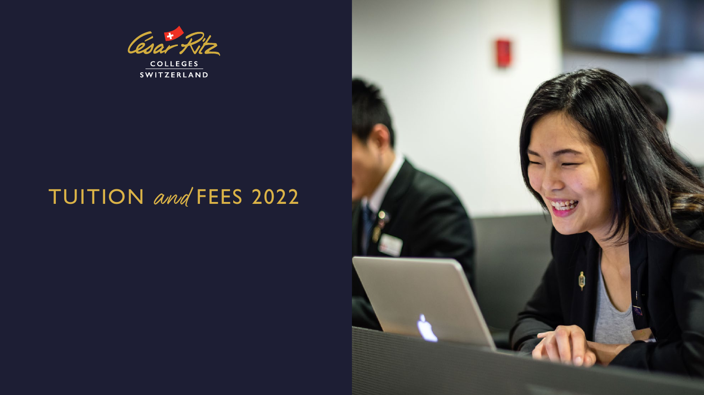

SWITZERLAND

## TUITION and FEES 2022

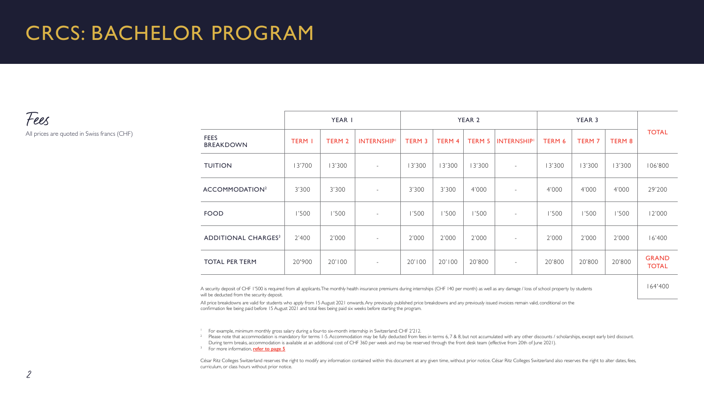## CRCS: BACHELOR PROGRAM

Fees All prices are quoted in Swiss francs (CHF)

YEAR 1 YEAR 2 YEAR 3 TOTAL FEES<br>BREAKDOWN "LL"S" | TERM I | TERM 2 | INTERNSHIP' | TERM 3 | TERM 4 | TERM 5 |INTERNSHIP' | TERM 6 | TERM 7 | TERM 8<br>BREAKDOWN TUITION 13'700 13'300 - 13'300 13'300 13'300 - 13'300 13'300 13'300 106'800 ACCOMMODATION<sup>2</sup> | 3'300 | 3'300 | - | 3'300 | 3'300 | 4'000 | - | 4'000 | 4'000 | 4'000 | 29'200 1'500 | 1'500 | 1'500 | - 1'500 | 1'500 | 1'500 | 1'500 | 1'500 | 12'000 | 12'000 | 12'000 ADDITIONAL CHARGES3 2'400 2'000 - 2'000 2'000 2'000 - 2'000 2'000 2'000 16'400 TOTAL PER TERM 20'900 20'100 - 20'100 20'100 20'800 - 20'800 20'800 20'800 GRAND TOTAL

164'400

A security deposit of CHF 1'500 is required from all applicants. The monthly health insurance premiums during internships (CHF 140 per month) as well as any damage / loss of school property by students will be deducted from the security deposit.

All price breakdowns are valid for students who apply from 15 August 2021 onwards. Any previously published price breakdowns and any previously issued invoices remain valid, conditional on the confirmation fee being paid before 15 August 2021 and total fees being paid six weeks before starting the program.

<sup>1</sup> For example, minimum monthly gross salary during a four-to six-month internship in Switzerland: CHF 2'212.

<sup>2</sup> Please note that accommodation is mandatory for terms 1-5. Accommodation may be fully deducted from fees in terms 6, 7 & 8, but not accumulated with any other discounts / scholarships, except early bird discount. During term breaks, [a](http://bit.ly/24sHqll)ccommodation is available at an additional cost of CHF 360 per week and may be reserved through the front desk team (effective from 20th of June 2021).

3 For more information, **[refer to page](#page-13-0) 5**

César Ritz Colleges Switzerland reserves the right to modify any information contained within this document at any given time, without prior notice. César Ritz Colleges Switzerland also reserves the right to alter dates, f curriculum, or class hours without prior notice.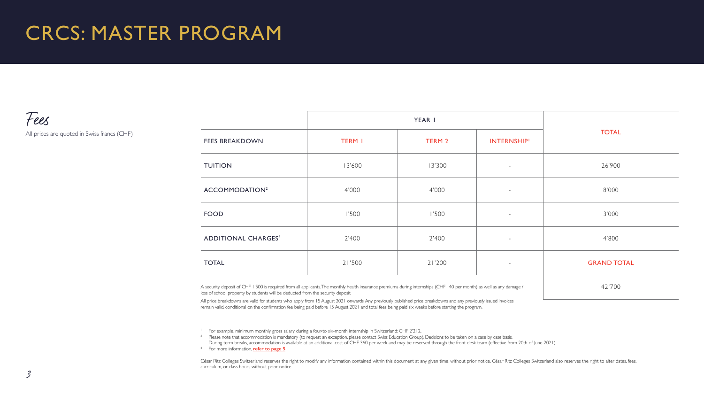## CRCS: MASTER PROGRAM

Fees

All prices are quoted in Swiss francs (CHF)

|                                                                                                                                                                                                                                        | YEAR I        |        |                   |                    |
|----------------------------------------------------------------------------------------------------------------------------------------------------------------------------------------------------------------------------------------|---------------|--------|-------------------|--------------------|
| <b>FEES BREAKDOWN</b>                                                                                                                                                                                                                  | <b>TERM I</b> | TERM 2 | <b>INTERNSHIP</b> | <b>TOTAL</b>       |
| <b>TUITION</b>                                                                                                                                                                                                                         | 13'600        | 13'300 | $\sim$            | 26'900             |
| ACCOMMODATION <sup>2</sup>                                                                                                                                                                                                             | 4'000         | 4'000  | $\sim$            | 8'000              |
| FOOD                                                                                                                                                                                                                                   | 1'500         | 1'500  | $\sim$            | 3'000              |
| ADDITIONAL CHARGES <sup>3</sup>                                                                                                                                                                                                        | 2'400         | 2'400  | $\sim$            | 4'800              |
| <b>TOTAL</b>                                                                                                                                                                                                                           | 21'500        | 21'200 | $\sim$            | <b>GRAND TOTAL</b> |
| $\Lambda$ . In the character of $\sigma$ is a final function of the continuation of the compact of the continue distribution of the continue of the continuation of the continuation of the continuation of the continuation of the co |               |        |                   | 121700             |

A security deposit of CHF I'500 is required from all applicants. The monthly health insurance premiums during internships (CHF 140 per month) as well as any damage / 42'700 loss of school property by students will be deducted from the security deposit.

All price breakdowns are valid for students who apply from 15 August 2021 onwards. Any previously published price breakdowns and any previously issued invoices remain valid, conditional on the confirmation fee being paid before 15 August 2021 and total fees being paid six weeks before starting the program.

<sup>1</sup> For example, minimum monthly gross salary during a four-to six-month internship in Switzerland: CHF 2'212.

<sup>2</sup> Please note that accommodation is mandatory (to request an exception, please contact Swiss Education Group). Decisions to be taken on a case by case basis. During term breaks, ac[commodation i](#page-13-0)s [a](http://bit.ly/24sHqll)vailable at an additional cost of CHF 360 per week and may be reserved through the front desk team (effective from 20th of June 2021). 3 For more information, **refer to page 5**

César Ritz Colleges Switzerland reserves the right to modify any information contained within this document at any given time, without prior notice. César Ritz Colleges Switzerland also reserves the right to alter dates, f curriculum, or class hours without prior notice.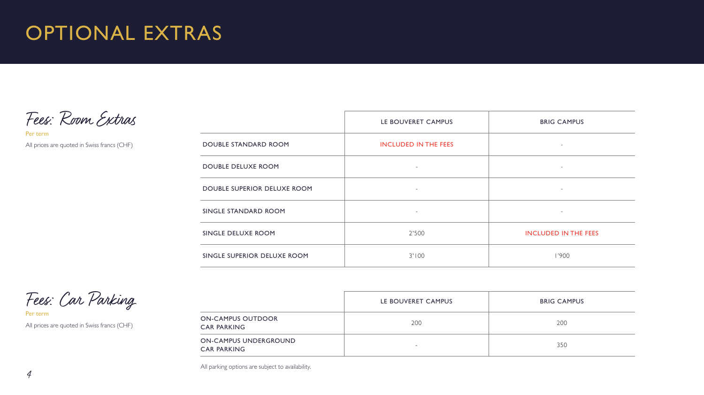Fees: Room Extras

Per term All prices are quoted in Swiss francs (CHF)

|                             | LE BOUVERET CAMPUS          | <b>BRIG CAMPUS</b>          |
|-----------------------------|-----------------------------|-----------------------------|
| DOUBLE STANDARD ROOM        | <b>INCLUDED IN THE FEES</b> | $\overline{\phantom{a}}$    |
| <b>DOUBLE DELUXE ROOM</b>   |                             | $\overline{\phantom{a}}$    |
| DOUBLE SUPERIOR DELUXE ROOM | $\overline{\phantom{a}}$    | $\sim$                      |
| SINGLE STANDARD ROOM        |                             | $\overline{\phantom{a}}$    |
| SINGLE DELUXE ROOM          | 2'500                       | <b>INCLUDED IN THE FEES</b> |
| SINGLE SUPERIOR DELUXE ROOM | 3'100                       | 1'900                       |

Fees: Car Parking

Per term All prices are quoted in Swiss francs (CHF)

|                                             | LE BOUVERET CAMPUS       | <b>BRIG CAMPUS</b> |
|---------------------------------------------|--------------------------|--------------------|
| ON-CAMPUS OUTDOOR<br><b>CAR PARKING</b>     | 200                      | 200                |
| ON-CAMPUS UNDERGROUND<br><b>CAR PARKING</b> | $\overline{\phantom{a}}$ | 350                |

All parking options are subject to availability.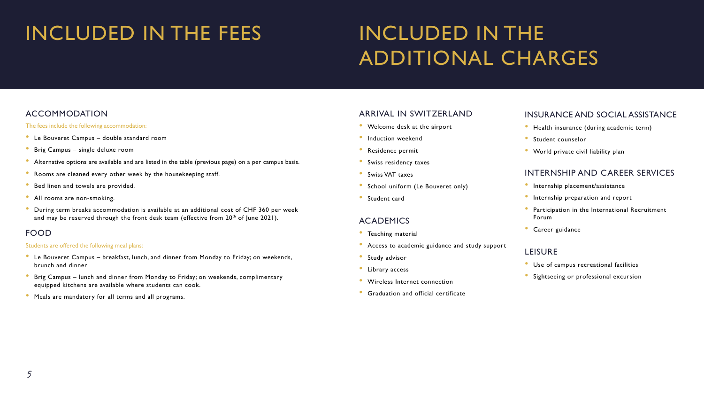## <span id="page-13-0"></span>INCLUDED IN THE FEES INCLUDED IN THE

# ADDITIONAL CHARGES

#### ACCOMMODATION

#### The fees include the following accommodation:

- Le Bouveret Campus double standard room
- Brig Campus single deluxe room
- Alternative options are available and are listed in the table (previous page) on a per campus basis.
- Rooms are cleaned every other week by the housekeeping staff.
- Bed linen and towels are provided.
- All rooms are non-smoking.
- During term breaks accommodation is available at an additional cost of CHF 360 per week and may be reserved through the front desk team (effective from  $20<sup>th</sup>$  of June 2021).

#### FOOD

#### Students are offered the following meal plans:

- Le Bouveret Campus breakfast, lunch, and dinner from Monday to Friday; on weekends, brunch and dinner
- Brig Campus lunch and dinner from Monday to Friday; on weekends, complimentary equipped kitchens are available where students can cook.
- Meals are mandatory for all terms and all programs.

#### ARRIVAL IN SWITZERLAND

- Welcome desk at the airport
- Induction weekend
- Residence permit
- Swiss residency taxes
- Swiss VAT taxes
- School uniform (Le Bouveret only)
- Student card

#### ACADEMICS

- Teaching material
- Access to academic guidance and study support
- Study advisor
- Library access
- Wireless Internet connection
- Graduation and official certificate

#### INSURANCE AND SOCIAL ASSISTANCE

- Health insurance (during academic term)
- Student counselor
- World private civil liability plan

#### INTERNSHIP AND CAREER SERVICES

- Internship placement/assistance
- Internship preparation and report
- Participation in the International Recruitment Forum
- Career guidance

#### LEISURE

- Use of campus recreational facilities
- Sightseeing or professional excursion